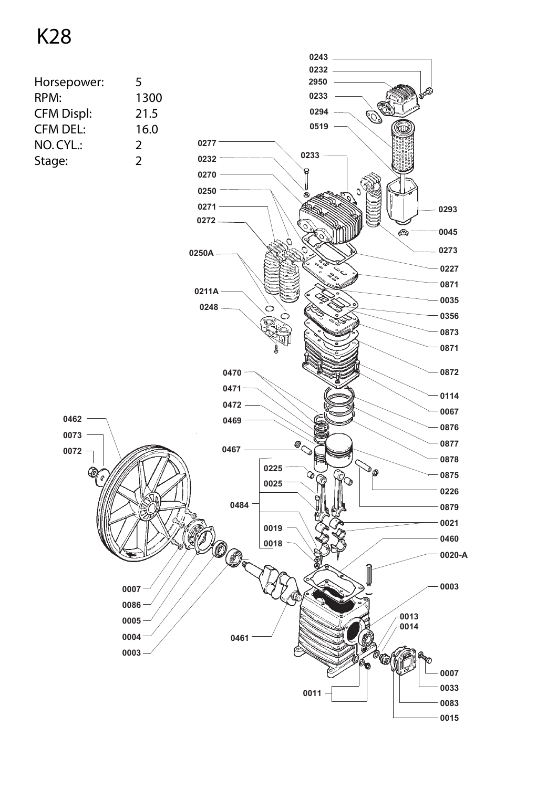## K28